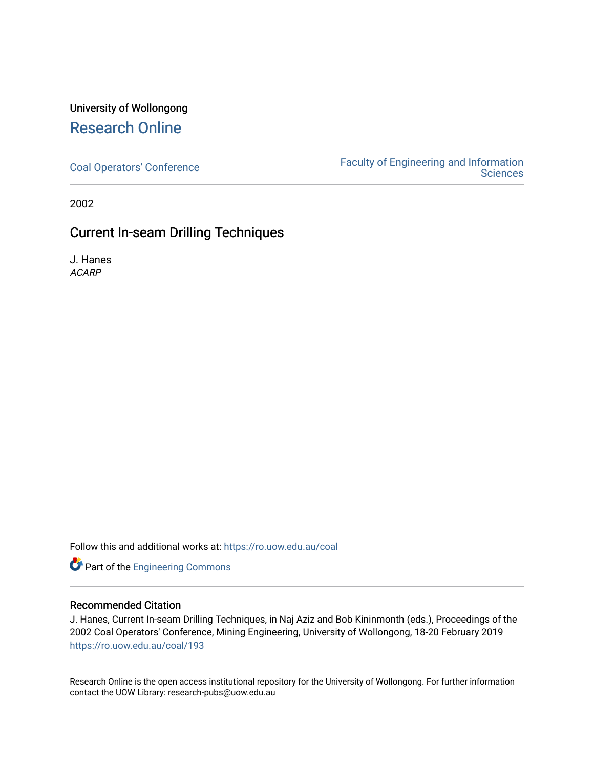# University of Wollongong [Research Online](https://ro.uow.edu.au/)

[Coal Operators' Conference](https://ro.uow.edu.au/coal) [Faculty of Engineering and Information](https://ro.uow.edu.au/eis)  **Sciences** 

2002

## Current In-seam Drilling Techniques

J. Hanes ACARP

Follow this and additional works at: [https://ro.uow.edu.au/coal](https://ro.uow.edu.au/coal?utm_source=ro.uow.edu.au%2Fcoal%2F193&utm_medium=PDF&utm_campaign=PDFCoverPages) 

**Part of the [Engineering Commons](http://network.bepress.com/hgg/discipline/217?utm_source=ro.uow.edu.au%2Fcoal%2F193&utm_medium=PDF&utm_campaign=PDFCoverPages)** 

### Recommended Citation

J. Hanes, Current In-seam Drilling Techniques, in Naj Aziz and Bob Kininmonth (eds.), Proceedings of the 2002 Coal Operators' Conference, Mining Engineering, University of Wollongong, 18-20 February 2019 [https://ro.uow.edu.au/coal/193](https://ro.uow.edu.au/coal/193?utm_source=ro.uow.edu.au%2Fcoal%2F193&utm_medium=PDF&utm_campaign=PDFCoverPages) 

Research Online is the open access institutional repository for the University of Wollongong. For further information contact the UOW Library: research-pubs@uow.edu.au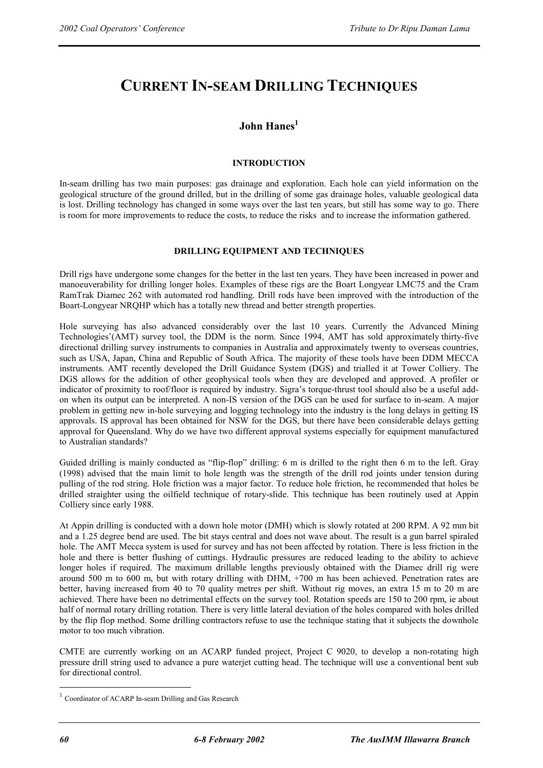# **CURRENT IN-SEAM DRILLING TECHNIQUES**

## **John Hanes1**

#### **INTRODUCTION**

In-seam drilling has two main purposes: gas drainage and exploration. Each hole can yield information on the geological structure of the ground drilled, but in the drilling of some gas drainage holes, valuable geological data is lost. Drilling technology has changed in some ways over the last ten years, but still has some way to go. There is room for more improvements to reduce the costs, to reduce the risks and to increase the information gathered.

#### **DRILLING EQUIPMENT AND TECHNIQUES**

Drill rigs have undergone some changes for the better in the last ten years. They have been increased in power and manoeuverability for drilling longer holes. Examples of these rigs are the Boart Longyear LMC75 and the Cram RamTrak Diamec 262 with automated rod handling. Drill rods have been improved with the introduction of the Boart-Longyear NRQHP which has a totally new thread and better strength properties.

Hole surveying has also advanced considerably over the last 10 years. Currently the Advanced Mining Technologies'(AMT) survey tool, the DDM is the norm. Since 1994, AMT has sold approximately thirty-five directional drilling survey instruments to companies in Australia and approximately twenty to overseas countries, such as USA, Japan, China and Republic of South Africa. The majority of these tools have been DDM MECCA instruments. AMT recently developed the Drill Guidance System (DGS) and trialled it at Tower Colliery. The DGS allows for the addition of other geophysical tools when they are developed and approved. A profiler or indicator of proximity to roof/floor is required by industry. Sigra's torque-thrust tool should also be a useful addon when its output can be interpreted. A non-IS version of the DGS can be used for surface to in-seam. A major problem in getting new in-hole surveying and logging technology into the industry is the long delays in getting IS approvals. IS approval has been obtained for NSW for the DGS, but there have been considerable delays getting approval for Queensland. Why do we have two different approval systems especially for equipment manufactured to Australian standards?

Guided drilling is mainly conducted as "flip-flop" drilling: 6 m is drilled to the right then 6 m to the left. Gray (1998) advised that the main limit to hole length was the strength of the drill rod joints under tension during pulling of the rod string. Hole friction was a major factor. To reduce hole friction, he recommended that holes be drilled straighter using the oilfield technique of rotary-slide. This technique has been routinely used at Appin Colliery since early 1988.

At Appin drilling is conducted with a down hole motor (DMH) which is slowly rotated at 200 RPM. A 92 mm bit and a 1.25 degree bend are used. The bit stays central and does not wave about. The result is a gun barrel spiraled hole. The AMT Mecca system is used for survey and has not been affected by rotation. There is less friction in the hole and there is better flushing of cuttings. Hydraulic pressures are reduced leading to the ability to achieve longer holes if required. The maximum drillable lengths previously obtained with the Diamec drill rig were around 500 m to 600 m, but with rotary drilling with DHM, +700 m has been achieved. Penetration rates are better, having increased from 40 to 70 quality metres per shift. Without rig moves, an extra 15 m to 20 m are achieved. There have been no detrimental effects on the survey tool. Rotation speeds are 150 to 200 rpm, ie about half of normal rotary drilling rotation. There is very little lateral deviation of the holes compared with holes drilled by the flip flop method. Some drilling contractors refuse to use the technique stating that it subjects the downhole motor to too much vibration.

CMTE are currently working on an ACARP funded project, Project C 9020, to develop a non-rotating high pressure drill string used to advance a pure waterjet cutting head. The technique will use a conventional bent sub for directional control.

 $\overline{a}$ 

<sup>1</sup> Coordinator of ACARP In-seam Drilling and Gas Research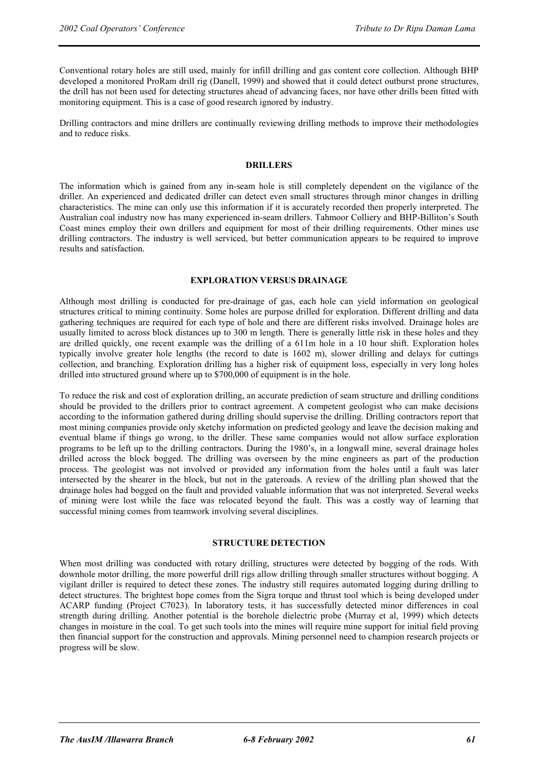Conventional rotary holes are still used, mainly for infill drilling and gas content core collection. Although BHP developed a monitored ProRam drill rig (Danell, 1999) and showed that it could detect outburst prone structures, the drill has not been used for detecting structures ahead of advancing faces, nor have other drills been fitted with monitoring equipment. This is a case of good research ignored by industry.

Drilling contractors and mine drillers are continually reviewing drilling methods to improve their methodologies and to reduce risks.

#### **DRILLERS**

The information which is gained from any in-seam hole is still completely dependent on the vigilance of the driller. An experienced and dedicated driller can detect even small structures through minor changes in drilling characteristics. The mine can only use this information if it is accurately recorded then properly interpreted. The Australian coal industry now has many experienced in-seam drillers. Tahmoor Colliery and BHP-Billiton's South Coast mines employ their own drillers and equipment for most of their drilling requirements. Other mines use drilling contractors. The industry is well serviced, but better communication appears to be required to improve results and satisfaction.

#### **EXPLORATION VERSUS DRAINAGE**

Although most drilling is conducted for pre-drainage of gas, each hole can yield information on geological structures critical to mining continuity. Some holes are purpose drilled for exploration. Different drilling and data gathering techniques are required for each type of hole and there are different risks involved. Drainage holes are usually limited to across block distances up to 300 m length. There is generally little risk in these holes and they are drilled quickly, one recent example was the drilling of a 611m hole in a 10 hour shift. Exploration holes typically involve greater hole lengths (the record to date is 1602 m), slower drilling and delays for cuttings collection, and branching. Exploration drilling has a higher risk of equipment loss, especially in very long holes drilled into structured ground where up to \$700,000 of equipment is in the hole.

To reduce the risk and cost of exploration drilling, an accurate prediction of seam structure and drilling conditions should be provided to the drillers prior to contract agreement. A competent geologist who can make decisions according to the information gathered during drilling should supervise the drilling. Drilling contractors report that most mining companies provide only sketchy information on predicted geology and leave the decision making and eventual blame if things go wrong, to the driller. These same companies would not allow surface exploration programs to be left up to the drilling contractors. During the 1980's, in a longwall mine, several drainage holes drilled across the block bogged. The drilling was overseen by the mine engineers as part of the production process. The geologist was not involved or provided any information from the holes until a fault was later intersected by the shearer in the block, but not in the gateroads. A review of the drilling plan showed that the drainage holes had bogged on the fault and provided valuable information that was not interpreted. Several weeks of mining were lost while the face was relocated beyond the fault. This was a costly way of learning that successful mining comes from teamwork involving several disciplines.

### **STRUCTURE DETECTION**

When most drilling was conducted with rotary drilling, structures were detected by bogging of the rods. With downhole motor drilling, the more powerful drill rigs allow drilling through smaller structures without bogging. A vigilant driller is required to detect these zones. The industry still requires automated logging during drilling to detect structures. The brightest hope comes from the Sigra torque and thrust tool which is being developed under ACARP funding (Project C7023). In laboratory tests, it has successfully detected minor differences in coal strength during drilling. Another potential is the borehole dielectric probe (Murray et al, 1999) which detects changes in moisture in the coal. To get such tools into the mines will require mine support for initial field proving then financial support for the construction and approvals. Mining personnel need to champion research projects or progress will be slow.